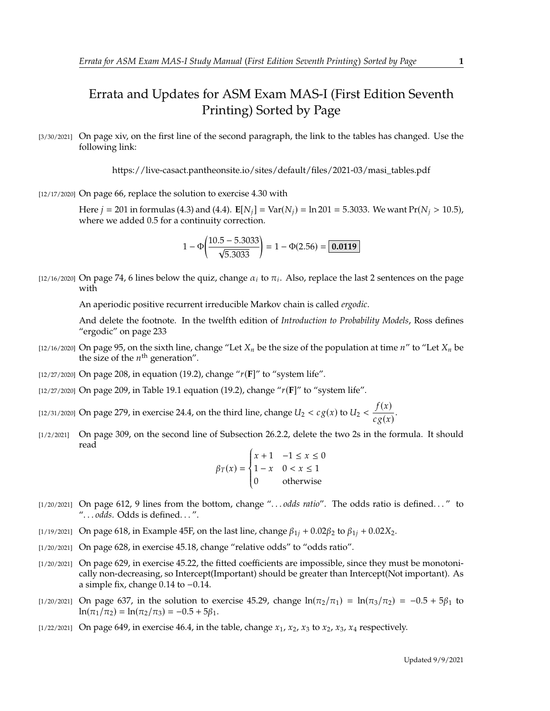## Errata and Updates for ASM Exam MAS-I (First Edition Seventh Printing) Sorted by Page

[3/30/2021] On page xiv, on the first line of the second paragraph, the link to the tables has changed. Use the following link:

https://live-casact.pantheonsite.io/sites/default/files/2021-03/masi\_tables.pdf

[12/17/2020] On page 66, replace the solution to exercise 4.30 with

Here  $j = 201$  in formulas (4.3) and (4.4).  $\mathbf{E}[N_j] = \text{Var}(N_j) = \ln 201 = 5.3033$ . We want  $\text{Pr}(N_j > 10.5)$ , where we added 0.5 for a continuity correction.

$$
1 - \Phi\left(\frac{10.5 - 5.3033}{\sqrt{5.3033}}\right) = 1 - \Phi(2.56) = \boxed{0.0119}
$$

[12/16/2020] On page 74, 6 lines below the quiz, change  $\alpha_i$  to  $\pi_i$ . Also, replace the last 2 sentences on the page with

An aperiodic positive recurrent irreducible Markov chain is called *ergodic*.

And delete the footnote. In the twelfth edition of *Introduction to Probability Models*, Ross defines "ergodic" on page 233

- [12/16/2020] On page 95, on the sixth line, change "Let  $X_n$  be the size of the population at time  $n''$  to "Let  $X_n$  be the size of the  $n^{\text{th}}$  generation".
- [12/27/2020] On page 208, in equation (19.2), change " $r(F)$ " to "system life".
- [12/27/2020] On page 209, in Table 19.1 equation (19.2), change "(**F**]" to "system life".
- [12/31/2020] On page 279, in exercise 24.4, on the third line, change  $U_2 < c g(x)$  to  $U_2 < \frac{f(x)}{c g(x)}$  $\frac{f(x)}{c g(x)}$ .
- [1/2/2021] On page 309, on the second line of Subsection 26.2.2, delete the two 2s in the formula. It should read

$$
\beta_T(x) = \begin{cases} x+1 & -1 \le x \le 0 \\ 1-x & 0 < x \le 1 \\ 0 & \text{otherwise} \end{cases}
$$

- J. [1/20/2021] On page 612, 9 lines from the bottom, change ". . . *odds ratio*". The odds ratio is defined. . . " to ". . . *odds*. Odds is defined. . . ".
- [1/19/2021] On page 618, in Example 45F, on the last line, change  $\beta_{1i} + 0.02\beta_{2}$  to  $\beta_{1i} + 0.02X_{2}$ .
- [1/20/2021] On page 628, in exercise 45.18, change "relative odds" to "odds ratio".
- [1/20/2021] On page 629, in exercise 45.22, the fitted coefficients are impossible, since they must be monotonically non-decreasing, so Intercept(Important) should be greater than Intercept(Not important). As a simple fix, change <sup>0</sup>.<sup>14</sup> to <sup>−</sup>0.14.
- [1/20/2021] On page 637, in the solution to exercise 45.29, change  $ln(\pi_2/\pi_1) = ln(\pi_3/\pi_2) = -0.5 + 5\beta_1$  to  $ln(\pi_1/\pi_2) = ln(\pi_2/\pi_3) = -0.5 + 5\beta_1.$
- $[1/22/2021]$  On page 649, in exercise 46.4, in the table, change  $x_1$ ,  $x_2$ ,  $x_3$  to  $x_2$ ,  $x_3$ ,  $x_4$  respectively.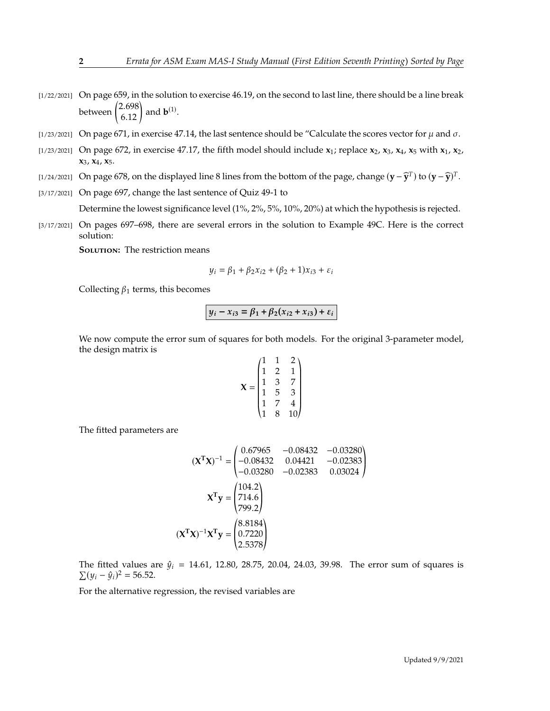- $[1/22/2021]$  On page 659, in the solution to exercise 46.19, on the second to last line, there should be a line break between  $\binom{2.698}{6.12}$  and **b**<sup>(1)</sup>.
- [1/23/2021] On page 671, in exercise 47.14, the last sentence should be "Calculate the scores vector for  $\mu$  and  $\sigma$ .
- [1/23/2021] On page 672, in exercise 47.17, the fifth model should include **x**1; replace **x**2, **x**3, **x**4, **x**<sup>5</sup> with **x**1, **x**2, **x**3, **x**4, **x**5.
- [1/24/2021] On page 678, on the displayed line 8 lines from the bottom of the page, change  $(\mathbf{y} \widehat{\mathbf{y}}^T)$  to  $(\mathbf{y} \widehat{\mathbf{y}})^T$ .
- [3/17/2021] On page 697, change the last sentence of Quiz 49-1 to

Determine the lowest significance level (1%, 2%, 5%, 10%, 20%) at which the hypothesis is rejected.

[3/17/2021] On pages 697–698, there are several errors in the solution to Example 49C. Here is the correct solution:

**SOLUTION:** The restriction means

$$
y_i = \beta_1 + \beta_2 x_{i2} + (\beta_2 + 1)x_{i3} + \varepsilon_i
$$

Collecting  $\beta_1$  terms, this becomes

$$
y_i - x_{i3} = \beta_1 + \beta_2(x_{i2} + x_{i3}) + \varepsilon_i
$$

We now compute the error sum of squares for both models. For the original 3-parameter model, the design matrix is

$$
\mathbf{X} = \begin{pmatrix} 1 & 1 & 2 \\ 1 & 2 & 1 \\ 1 & 3 & 7 \\ 1 & 5 & 3 \\ 1 & 7 & 4 \\ 1 & 8 & 10 \end{pmatrix}
$$

The fitted parameters are

$$
(\mathbf{X}^{\mathsf{T}}\mathbf{X})^{-1} = \begin{pmatrix} 0.67965 & -0.08432 & -0.03280 \\ -0.08432 & 0.04421 & -0.02383 \\ -0.03280 & -0.02383 & 0.03024 \end{pmatrix}
$$

$$
\mathbf{X}^{\mathsf{T}}\mathbf{y} = \begin{pmatrix} 104.2 \\ 714.6 \\ 799.2 \end{pmatrix}
$$

$$
(\mathbf{X}^{\mathsf{T}}\mathbf{X})^{-1}\mathbf{X}^{\mathsf{T}}\mathbf{y} = \begin{pmatrix} 8.8184 \\ 0.7220 \\ 2.5378 \end{pmatrix}
$$

The fitted values are  $\hat{y}_i = 14.61, 12.80, 28.75, 20.04, 24.03, 39.98$ . The error sum of squares is  $\sum (y_i - \hat{y}_i)^2 = 56.52.$ 

For the alternative regression, the revised variables are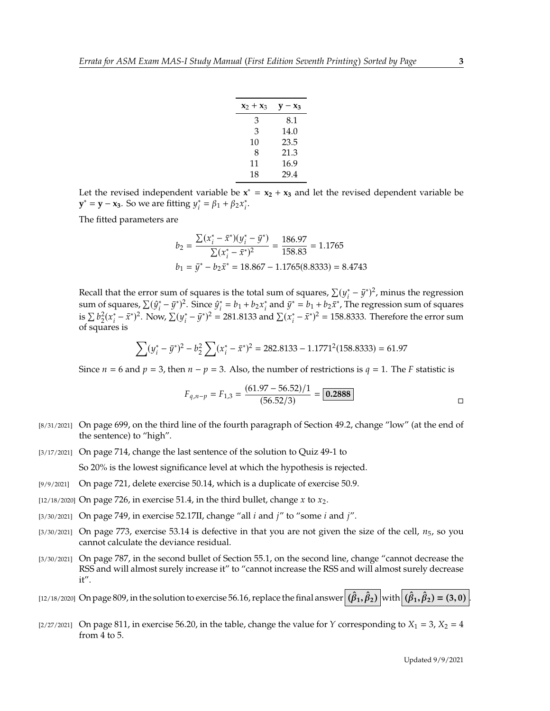| $x_2 + x_3$ | $\mathbf{v}-\mathbf{x}_3$ |
|-------------|---------------------------|
| 3           | 8.1                       |
| 3           | 14.0                      |
| 10          | 23.5                      |
| 8           | 21.3                      |
| 11          | 16.9                      |
| 18          | 29.4                      |

Let the revised independent variable be  $x^* = x_2 + x_3$  and let the revised dependent variable be **y**<sup>\*</sup> = **y** − **x**<sub>3</sub>. So we are fitting  $y_i^* = \beta_1 + \beta_2 x_i^*$ .

The fitted parameters are

$$
b_2 = \frac{\sum (x_i^* - \bar{x}^*)(y_i^* - \bar{y}^*)}{\sum (x_i^* - \bar{x}^*)^2} = \frac{186.97}{158.83} = 1.1765
$$
  

$$
b_1 = \bar{y}^* - b_2 \bar{x}^* = 18.867 - 1.1765(8.8333) = 8.4743
$$

Recall that the error sum of squares is the total sum of squares,  $\sum (y_i^* - \bar{y}^*)^2$ , minus the regression<br>sum of squares,  $\sum (G^* - \bar{g}^*)^2$ . Since  $G^* = h + h$  of and  $\bar{g}^* = h + h + \bar{g}^*$ . The regression sum of squares sum of squares,  $\sum (\hat{y}_i^* - \bar{y}^*)^2$ . Since  $\hat{y}_i^* = b_1 + b_2 x_i^*$  and  $\bar{y}^* = b_1 + b_2 \bar{x}^*$ , The regression sum of squares is  $\sum b_2^2 (x_i^* - \bar{x}^*)^2$ . Now,  $\sum (y_i^* - \bar{y}^*)^2 = 281.8133$  and  $\sum (x_i^* - \bar{x}^*)^2 = 158.8333$ . Therefore the error sum  $\sum_{1}^{n} \frac{1}{2}$  of squares is

$$
\sum (y_i^* - \bar{y}^*)^2 - b_2^2 \sum (x_i^* - \bar{x}^*)^2 = 282.8133 - 1.1771^2 (158.8333) = 61.97
$$

Since  $n = 6$  and  $p = 3$ , then  $n - p = 3$ . Also, the number of restrictions is  $q = 1$ . The F statistic is

$$
F_{q,n-p} = F_{1,3} = \frac{(61.97 - 56.52)/1}{(56.52/3)} = \boxed{0.2888}
$$

- [8/31/2021] On page 699, on the third line of the fourth paragraph of Section 49.2, change "low" (at the end of the sentence) to "high".
- [3/17/2021] On page 714, change the last sentence of the solution to Quiz 49-1 to

So 20% is the lowest significance level at which the hypothesis is rejected.

- [9/9/2021] On page 721, delete exercise 50.14, which is a duplicate of exercise 50.9.
- [12/18/2020] On page 726, in exercise 51.4, in the third bullet, change x to  $x_2$ .
- [3/30/2021] On page 749, in exercise 52.17II, change "all  $i$  and  $j$ " to "some  $i$  and  $j$ ".
- $[3/30/2021]$  On page 773, exercise 53.14 is defective in that you are not given the size of the cell,  $n_5$ , so you cannot calculate the deviance residual.
- [3/30/2021] On page 787, in the second bullet of Section 55.1, on the second line, change "cannot decrease the RSS and will almost surely increase it" to "cannot increase the RSS and will almost surely decrease it".

[12/18/2020] On page 809, in the solution to exercise 56.16, replace the final answer  $(\hat{\beta}_1, \hat{\beta}_2)$  with  $(\hat{\beta}_1, \hat{\beta}_2) = (3, 0)$ .

[2/27/2021] On page 811, in exercise 56.20, in the table, change the value for Y corresponding to  $X_1 = 3$ ,  $X_2 = 4$ from 4 to 5.